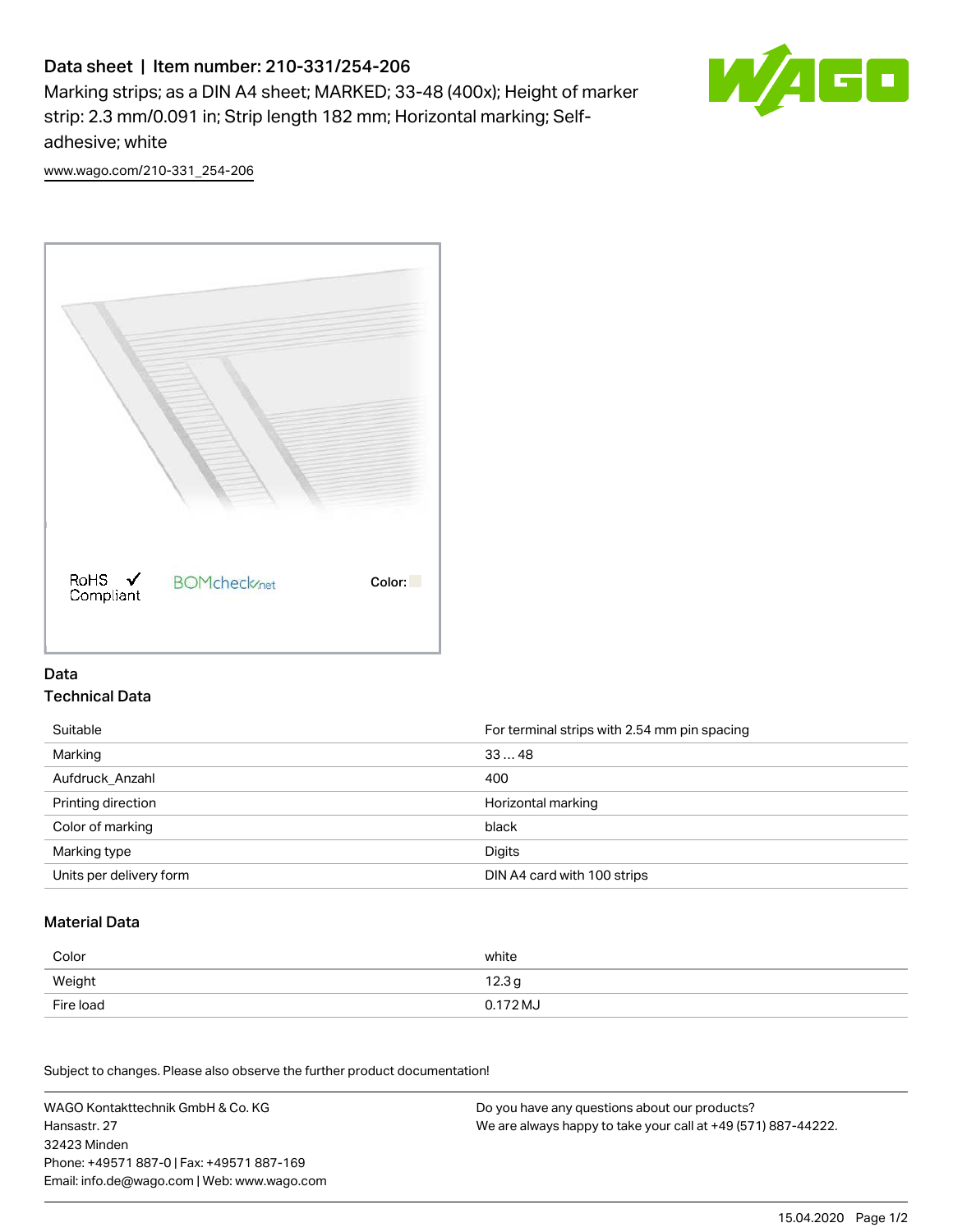# Data sheet | Item number: 210-331/254-206

Marking strips; as a DIN A4 sheet; MARKED; 33-48 (400x); Height of marker strip: 2.3 mm/0.091 in; Strip length 182 mm; Horizontal marking; Selfadhesive; white



[www.wago.com/210-331\\_254-206](http://www.wago.com/210-331_254-206)



### Data Technical Data

| Suitable                | For terminal strips with 2.54 mm pin spacing |
|-------------------------|----------------------------------------------|
| Marking                 | 3348                                         |
| Aufdruck Anzahl         | 400                                          |
| Printing direction      | Horizontal marking                           |
| Color of marking        | black                                        |
| Marking type            | Digits                                       |
| Units per delivery form | DIN A4 card with 100 strips                  |

#### Material Data

| Color     | white             |
|-----------|-------------------|
| Weight    | 12.3 <sub>g</sub> |
| Fire load | 0.172 MJ          |

Subject to changes. Please also observe the further product documentation!

WAGO Kontakttechnik GmbH & Co. KG Hansastr. 27 32423 Minden Phone: +49571 887-0 | Fax: +49571 887-169 Email: info.de@wago.com | Web: www.wago.com Do you have any questions about our products? We are always happy to take your call at +49 (571) 887-44222.